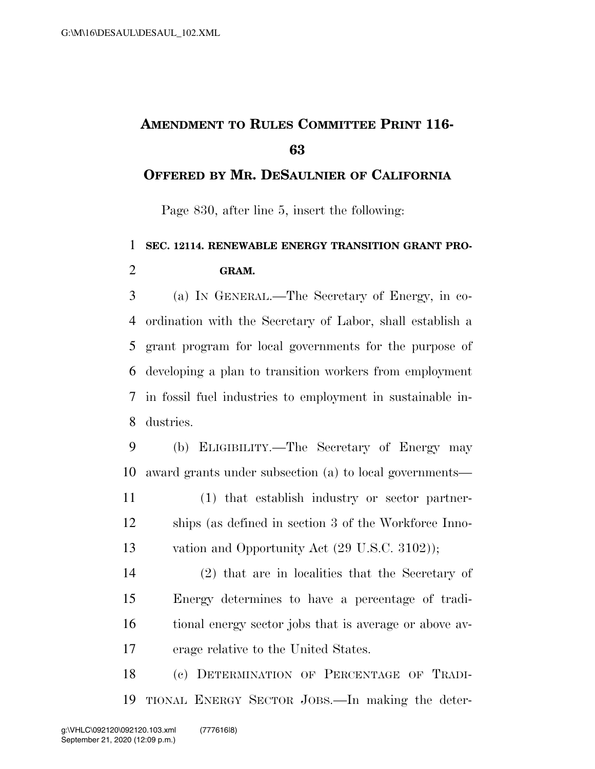## **AMENDMENT TO RULES COMMITTEE PRINT 116-**

## **OFFERED BY MR. DESAULNIER OF CALIFORNIA**

Page 830, after line 5, insert the following:

## **SEC. 12114. RENEWABLE ENERGY TRANSITION GRANT PRO-GRAM.**

 (a) IN GENERAL.—The Secretary of Energy, in co- ordination with the Secretary of Labor, shall establish a grant program for local governments for the purpose of developing a plan to transition workers from employment in fossil fuel industries to employment in sustainable in-dustries.

 (b) ELIGIBILITY.—The Secretary of Energy may award grants under subsection (a) to local governments—

 (1) that establish industry or sector partner- ships (as defined in section 3 of the Workforce Inno-vation and Opportunity Act (29 U.S.C. 3102));

 (2) that are in localities that the Secretary of Energy determines to have a percentage of tradi- tional energy sector jobs that is average or above av-erage relative to the United States.

 (c) DETERMINATION OF PERCENTAGE OF TRADI-TIONAL ENERGY SECTOR JOBS.—In making the deter